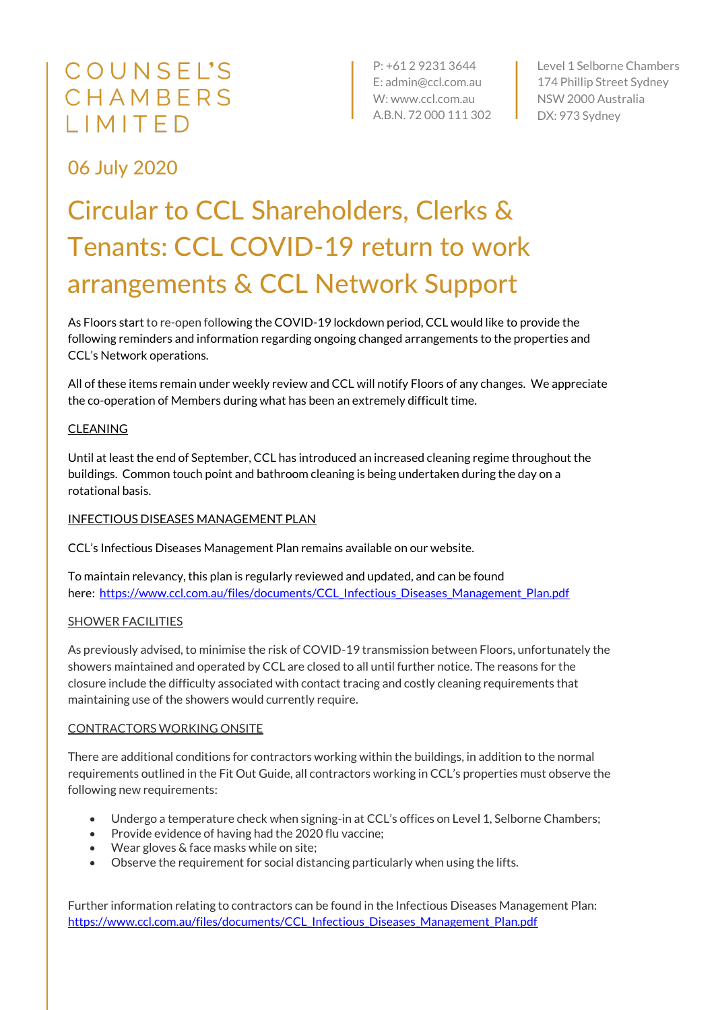# COUNSEL'S CHAMBERS LIMITED

P: +61 2 9231 3644 E: admin@ccl.com.au W: www.ccl.com.au A.B.N. 72 000 111 302 Level 1 Selborne Chambers 174 Phillip Street Sydney NSW 2000 Australia DX: 973 Sydney

# 06 July 2020

# Circular to CCL Shareholders, Clerks & Tenants: CCL COVID-19 return to work arrangements & CCL Network Support

As Floors start to re-open following the COVID-19 lockdown period, CCL would like to provide the following reminders and information regarding ongoing changed arrangements to the properties and CCL's Network operations.

All of these items remain under weekly review and CCL will notify Floors of any changes. We appreciate the co-operation of Members during what has been an extremely difficult time.

# CLEANING

Until at least the end of September, CCL has introduced an increased cleaning regime throughout the buildings. Common touch point and bathroom cleaning is being undertaken during the day on a rotational basis.

# INFECTIOUS DISEASES MANAGEMENT PLAN

CCL's Infectious Diseases Management Plan remains available on our website.

To maintain relevancy, this plan is regularly reviewed and updated, and can be found here: [https://www.ccl.com.au/files/documents/CCL\\_Infectious\\_Diseases\\_Management\\_Plan.pdf](https://www.ccl.com.au/files/documents/CCL_Infectious_Diseases_Management_Plan.pdf)

#### SHOWER FACILITIES

As previously advised, to minimise the risk of COVID-19 transmission between Floors, unfortunately the showers maintained and operated by CCL are closed to all until further notice. The reasons for the closure include the difficulty associated with contact tracing and costly cleaning requirements that maintaining use of the showers would currently require.

#### CONTRACTORS WORKING ONSITE

There are additional conditions for contractors working within the buildings, in addition to the normal requirements outlined in the Fit Out Guide, all contractors working in CCL's properties must observe the following new requirements:

- Undergo a temperature check when signing-in at CCL's offices on Level 1, Selborne Chambers;
- Provide evidence of having had the 2020 flu vaccine;
- Wear gloves & face masks while on site;
- Observe the requirement for social distancing particularly when using the lifts.

Further information relating to contractors can be found in the Infectious Diseases Management Plan: [https://www.ccl.com.au/files/documents/CCL\\_Infectious\\_Diseases\\_Management\\_Plan.pdf](https://www.ccl.com.au/files/documents/CCL_Infectious_Diseases_Management_Plan.pdf)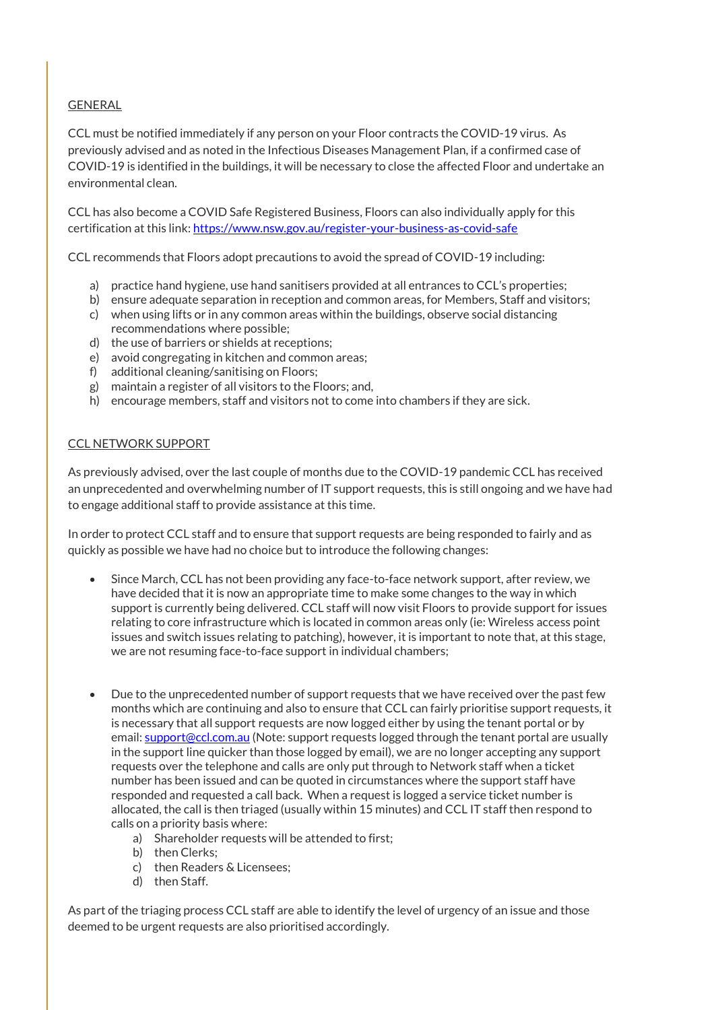## GENERAL

CCL must be notified immediately if any person on your Floor contracts the COVID-19 virus. As previously advised and as noted in the Infectious Diseases Management Plan, if a confirmed case of COVID-19 is identified in the buildings, it will be necessary to close the affected Floor and undertake an environmental clean.

CCL has also become a COVID Safe Registered Business, Floors can also individually apply for this certification at this link[: https://www.nsw.gov.au/register-your-business-as-covid-safe](https://www.nsw.gov.au/register-your-business-as-covid-safe)

CCL recommends that Floors adopt precautions to avoid the spread of COVID-19 including:

- a) practice hand hygiene, use hand sanitisers provided at all entrances to CCL's properties;
- b) ensure adequate separation in reception and common areas, for Members, Staff and visitors;
- c) when using lifts or in any common areas within the buildings, observe social distancing recommendations where possible;
- d) the use of barriers or shields at receptions;
- e) avoid congregating in kitchen and common areas;
- f) additional cleaning/sanitising on Floors;
- g) maintain a register of all visitors to the Floors; and,
- h) encourage members, staff and visitors not to come into chambers if they are sick.

#### CCL NETWORK SUPPORT

As previously advised, over the last couple of months due to the COVID-19 pandemic CCL has received an unprecedented and overwhelming number of IT support requests, this is still ongoing and we have had to engage additional staff to provide assistance at this time.

In order to protect CCL staff and to ensure that support requests are being responded to fairly and as quickly as possible we have had no choice but to introduce the following changes:

- Since March, CCL has not been providing any face-to-face network support, after review, we have decided that it is now an appropriate time to make some changes to the way in which support is currently being delivered. CCL staff will now visit Floors to provide support for issues relating to core infrastructure which is located in common areas only (ie: Wireless access point issues and switch issues relating to patching), however, it is important to note that, at this stage, we are not resuming face-to-face support in individual chambers;
- Due to the unprecedented number of support requests that we have received over the past few months which are continuing and also to ensure that CCL can fairly prioritise support requests, it is necessary that all support requests are now logged either by using the tenant portal or by email: [support@ccl.com.au](mailto:support@ccl.com.au) (Note: support requests logged through the tenant portal are usually in the support line quicker than those logged by email), we are no longer accepting any support requests over the telephone and calls are only put through to Network staff when a ticket number has been issued and can be quoted in circumstances where the support staff have responded and requested a call back. When a request is logged a service ticket number is allocated, the call is then triaged (usually within 15 minutes) and CCL IT staff then respond to calls on a priority basis where:
	- a) Shareholder requests will be attended to first;
	- b) then Clerks;
	- c) then Readers & Licensees;
	- d) then Staff.

As part of the triaging process CCL staff are able to identify the level of urgency of an issue and those deemed to be urgent requests are also prioritised accordingly.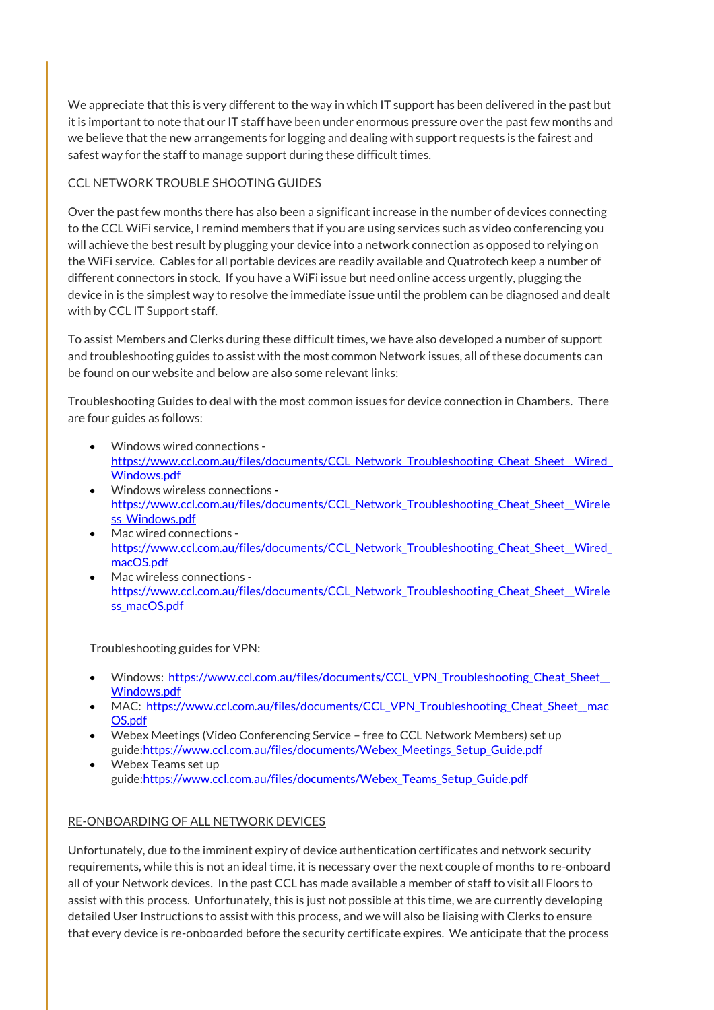We appreciate that this is very different to the way in which IT support has been delivered in the past but it is important to note that our IT staff have been under enormous pressure over the past few months and we believe that the new arrangements for logging and dealing with support requests is the fairest and safest way for the staff to manage support during these difficult times.

## CCL NETWORK TROUBLE SHOOTING GUIDES

Over the past few months there has also been a significant increase in the number of devices connecting to the CCL WiFi service, I remind members that if you are using services such as video conferencing you will achieve the best result by plugging your device into a network connection as opposed to relying on the WiFi service. Cables for all portable devices are readily available and Quatrotech keep a number of different connectors in stock. If you have a WiFi issue but need online access urgently, plugging the device in is the simplest way to resolve the immediate issue until the problem can be diagnosed and dealt with by CCL IT Support staff.

To assist Members and Clerks during these difficult times, we have also developed a number of support and troubleshooting guides to assist with the most common Network issues, all of these documents can be found on our website and below are also some relevant links:

Troubleshooting Guides to deal with the most common issues for device connection in Chambers. There are four guides as follows:

- Windows wired connections https://www.ccl.com.au/files/documents/CCL\_Network\_Troubleshooting\_Cheat\_Sheet\_Wired\_ [Windows.pdf](https://www.ccl.com.au/files/documents/CCL_Network_Troubleshooting_Cheat_Sheet__Wired_Windows.pdf)
- Windows wireless connections https://www.ccl.com.au/files/documents/CCL\_Network\_Troubleshooting\_Cheat\_Sheet\_Wirele ss Windows.pdf
- Mac wired connections [https://www.ccl.com.au/files/documents/CCL\\_Network\\_Troubleshooting\\_Cheat\\_Sheet\\_\\_Wired\\_](https://www.ccl.com.au/files/documents/CCL_Network_Troubleshooting_Cheat_Sheet__Wired_macOS.pdf) [macOS.pdf](https://www.ccl.com.au/files/documents/CCL_Network_Troubleshooting_Cheat_Sheet__Wired_macOS.pdf)
- Mac wireless connections https://www.ccl.com.au/files/documents/CCL\_Network\_Troubleshooting\_Cheat\_Sheet\_Wirele [ss\\_macOS.pdf](https://www.ccl.com.au/files/documents/CCL_Network_Troubleshooting_Cheat_Sheet__Wireless_macOS.pdf)

Troubleshooting guides for VPN:

- Windows: https://www.ccl.com.au/files/documents/CCL\_VPN\_Troubleshooting\_Cheat\_Sheet [Windows.pdf](https://www.ccl.com.au/files/documents/CCL_VPN_Troubleshooting_Cheat_Sheet__Windows.pdf)
- MAC: https://www.ccl.com.au/files/documents/CCL\_VPN\_Troubleshooting\_Cheat\_Sheet\_mac [OS.pdf](https://www.ccl.com.au/files/documents/CCL_VPN_Troubleshooting_Cheat_Sheet__macOS.pdf)
- Webex Meetings (Video Conferencing Service free to CCL Network Members) set up guide[:https://www.ccl.com.au/files/documents/Webex\\_Meetings\\_Setup\\_Guide.pdf](https://www.ccl.com.au/files/documents/Webex_Meetings_Setup_Guide.pdf)
- Webex Teams set up guide[:https://www.ccl.com.au/files/documents/Webex\\_Teams\\_Setup\\_Guide.pdf](https://www.ccl.com.au/files/documents/Webex_Teams_Setup_Guide.pdf)

# RE-ONBOARDING OF ALL NETWORK DEVICES

Unfortunately, due to the imminent expiry of device authentication certificates and network security requirements, while this is not an ideal time, it is necessary over the next couple of months to re-onboard all of your Network devices. In the past CCL has made available a member of staff to visit all Floors to assist with this process. Unfortunately, this is just not possible at this time, we are currently developing detailed User Instructions to assist with this process, and we will also be liaising with Clerks to ensure that every device is re-onboarded before the security certificate expires. We anticipate that the process